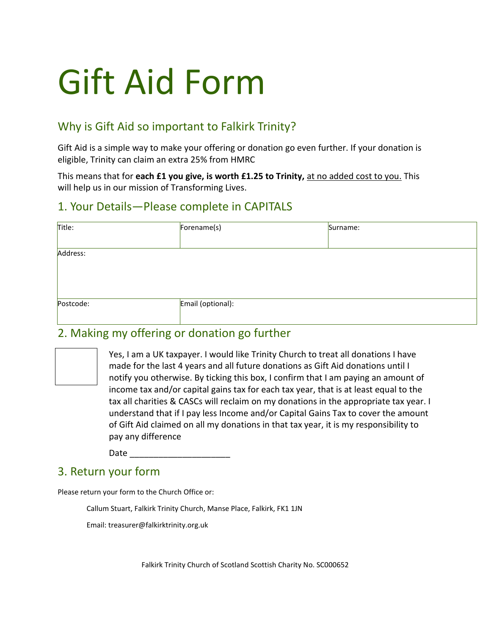# Gift Aid Form

# Why is Gift Aid so important to Falkirk Trinity?

Gift Aid is a simple way to make your offering or donation go even further. If your donation is eligible, Trinity can claim an extra 25% from HMRC

This means that for **each £1 you give, is worth £1.25 to Trinity,** at no added cost to you. This will help us in our mission of Transforming Lives.

#### 1. Your Details—Please complete in CAPITALS

| Title:    | $F$ orename(s)    | Surname: |
|-----------|-------------------|----------|
| Address:  |                   |          |
| Postcode: | Email (optional): |          |

#### 2. Making my offering or donation go further



Yes, I am a UK taxpayer. I would like Trinity Church to treat all donations I have made for the last 4 years and all future donations as Gift Aid donations until I notify you otherwise. By ticking this box, I confirm that I am paying an amount of income tax and/or capital gains tax for each tax year, that is at least equal to the tax all charities & CASCs will reclaim on my donations in the appropriate tax year. I understand that if I pay less Income and/or Capital Gains Tax to cover the amount of Gift Aid claimed on all my donations in that tax year, it is my responsibility to pay any difference

Date  $\Box$ 

#### 3. Return your form

Please return your form to the Church Office or:

Callum Stuart, Falkirk Trinity Church, Manse Place, Falkirk, FK1 1JN

Email: treasurer@falkirktrinity.org.uk

Falkirk Trinity Church of Scotland Scottish Charity No. SC000652